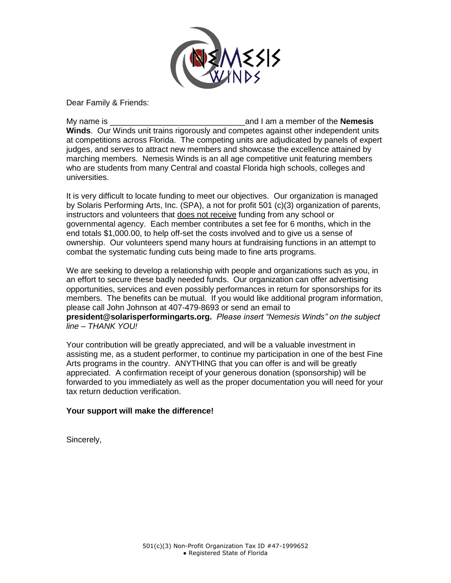

Dear Family & Friends:

My name is **the interval interval in the interval interval interval interval in the interval interval interval interval interval interval interval interval interval interval interval interval interval interval interval int Winds**. Our Winds unit trains rigorously and competes against other independent units at competitions across Florida. The competing units are adjudicated by panels of expert judges, and serves to attract new members and showcase the excellence attained by marching members. Nemesis Winds is an all age competitive unit featuring members who are students from many Central and coastal Florida high schools, colleges and universities.

It is very difficult to locate funding to meet our objectives. Our organization is managed by Solaris Performing Arts, Inc. (SPA), a not for profit 501 (c)(3) organization of parents, instructors and volunteers that does not receive funding from any school or governmental agency. Each member contributes a set fee for 6 months, which in the end totals \$1,000.00, to help off-set the costs involved and to give us a sense of ownership. Our volunteers spend many hours at fundraising functions in an attempt to combat the systematic funding cuts being made to fine arts programs.

We are seeking to develop a relationship with people and organizations such as you, in an effort to secure these badly needed funds. Our organization can offer advertising opportunities, services and even possibly performances in return for sponsorships for its members. The benefits can be mutual. If you would like additional program information, please call John Johnson at 407-479-8693 or send an email to **president@solarisperformingarts.org.** *Please insert "Nemesis Winds" on the subject line – THANK YOU!*

Your contribution will be greatly appreciated, and will be a valuable investment in assisting me, as a student performer, to continue my participation in one of the best Fine Arts programs in the country. ANYTHING that you can offer is and will be greatly appreciated. A confirmation receipt of your generous donation (sponsorship) will be forwarded to you immediately as well as the proper documentation you will need for your tax return deduction verification.

## **Your support will make the difference!**

Sincerely,